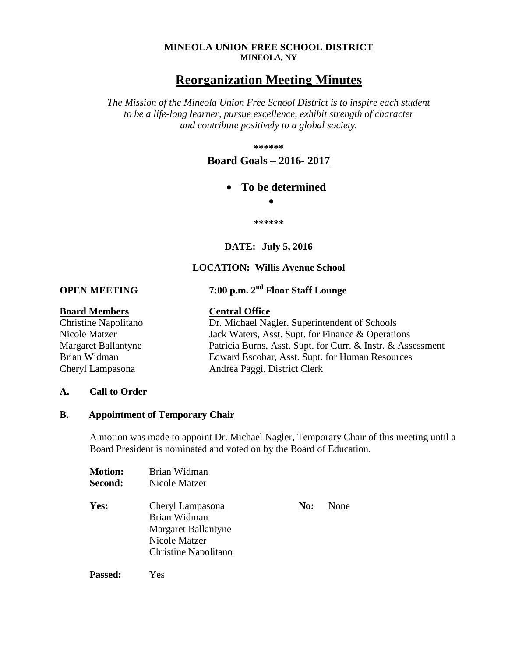#### **MINEOLA UNION FREE SCHOOL DISTRICT MINEOLA, NY**

# **Reorganization Meeting Minutes**

*The Mission of the Mineola Union Free School District is to inspire each student to be a life-long learner, pursue excellence, exhibit strength of character and contribute positively to a global society.*

**\*\*\*\*\*\***

## **Board Goals – 2016- 2017**

## • **To be determined**

•

**\*\*\*\*\*\***

**DATE: July 5, 2016**

## **LOCATION: Willis Avenue School**

**OPEN MEETING 7:00 p.m. 2nd Floor Staff Lounge**

#### **Board Members Central Office**

Christine Napolitano Dr. Michael Nagler, Superintendent of Schools Nicole Matzer Jack Waters, Asst. Supt. for Finance & Operations Margaret Ballantyne Patricia Burns, Asst. Supt. for Curr. & Instr. & Assessment Brian Widman Edward Escobar, Asst. Supt. for Human Resources Cheryl Lampasona Andrea Paggi, District Clerk

#### **A. Call to Order**

### **B. Appointment of Temporary Chair**

A motion was made to appoint Dr. Michael Nagler, Temporary Chair of this meeting until a Board President is nominated and voted on by the Board of Education.

| <b>Motion:</b> | Brian Widman                                                                                     |     |      |
|----------------|--------------------------------------------------------------------------------------------------|-----|------|
| <b>Second:</b> | Nicole Matzer                                                                                    |     |      |
| Yes:           | Cheryl Lampasona<br>Brian Widman<br>Margaret Ballantyne<br>Nicole Matzer<br>Christine Napolitano | No: | None |
|                |                                                                                                  |     |      |

**Passed:** Yes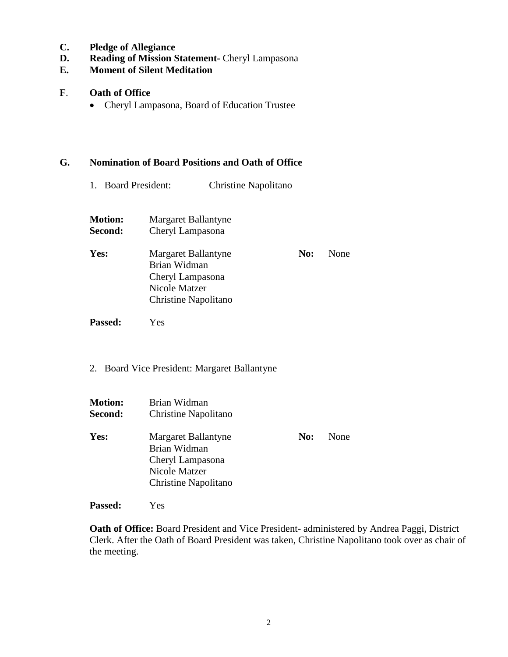- **C. Pledge of Allegiance**
- **D. Reading of Mission Statement-** Cheryl Lampasona
- **E. Moment of Silent Meditation**

### **F**. **Oath of Office**

• Cheryl Lampasona, Board of Education Trustee

#### **G. Nomination of Board Positions and Oath of Office**

1. Board President: Christine Napolitano

| <b>Motion:</b><br>Second: | Margaret Ballantyne<br>Cheryl Lampasona                                                          |     |      |
|---------------------------|--------------------------------------------------------------------------------------------------|-----|------|
| Yes:                      | Margaret Ballantyne<br>Brian Widman<br>Cheryl Lampasona<br>Nicole Matzer<br>Christine Napolitano | No: | None |

- 
- 2. Board Vice President: Margaret Ballantyne

| <b>Motion:</b><br>Second: | Brian Widman<br>Christine Napolitano                                                             |     |      |
|---------------------------|--------------------------------------------------------------------------------------------------|-----|------|
| Yes:                      | Margaret Ballantyne<br>Brian Widman<br>Cheryl Lampasona<br>Nicole Matzer<br>Christine Napolitano | No: | None |

**Passed:** Yes

**Passed:** Yes

**Oath of Office:** Board President and Vice President- administered by Andrea Paggi, District Clerk. After the Oath of Board President was taken, Christine Napolitano took over as chair of the meeting.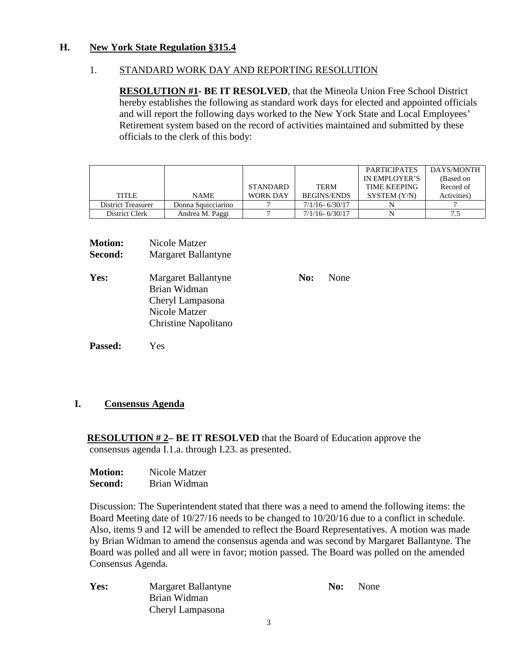## **H. New York State Regulation §315.4**

## 1. STANDARD WORK DAY AND REPORTING RESOLUTION

**RESOLUTION #1- BE IT RESOLVED**, that the Mineola Union Free School District hereby establishes the following as standard work days for elected and appointed officials and will report the following days worked to the New York State and Local Employees' Retirement system based on the record of activities maintained and submitted by these officials to the clerk of this body:

|                    |                    |                 |                    | <b>PARTICIPATES</b> | DAYS/MONTH  |
|--------------------|--------------------|-----------------|--------------------|---------------------|-------------|
|                    |                    |                 |                    | IN EMPLOYER'S       | (Based on   |
|                    |                    | <b>STANDARD</b> | <b>TERM</b>        | <b>TIME KEEPING</b> | Record of   |
| <b>TITLE</b>       | <b>NAME</b>        | <b>WORK DAY</b> | <b>BEGINS/ENDS</b> | SYSTEM (Y/N)        | Activities) |
| District Treasurer | Donna Squicciarino |                 | $7/1/16 - 6/30/17$ |                     |             |
| District Clerk     | Andrea M. Paggi    |                 | $7/1/16 - 6/30/17$ |                     | ن. ا        |

| <b>Motion:</b> | Nicole Matzer                                                                                    |     |      |
|----------------|--------------------------------------------------------------------------------------------------|-----|------|
| Second:        | Margaret Ballantyne                                                                              |     |      |
| Yes:           | Margaret Ballantyne<br>Brian Widman<br>Cheryl Lampasona<br>Nicole Matzer<br>Christine Napolitano | No: | None |
|                |                                                                                                  |     |      |

**Passed:** Yes

## **I. Consensus Agenda**

 **RESOLUTION # 2– BE IT RESOLVED** that the Board of Education approve the consensus agenda I.1.a. through I.23. as presented.

| <b>Motion:</b> | Nicole Matzer |  |
|----------------|---------------|--|
| <b>Second:</b> | Brian Widman  |  |

Discussion: The Superintendent stated that there was a need to amend the following items: the Board Meeting date of 10/27/16 needs to be changed to 10/20/16 due to a conflict in schedule. Also, items 9 and 12 will be amended to reflect the Board Representatives. A motion was made by Brian Widman to amend the consensus agenda and was second by Margaret Ballantyne. The Board was polled and all were in favor; motion passed. The Board was polled on the amended Consensus Agenda.

**Yes:** Margaret Ballantyne **No:** None Brian Widman Cheryl Lampasona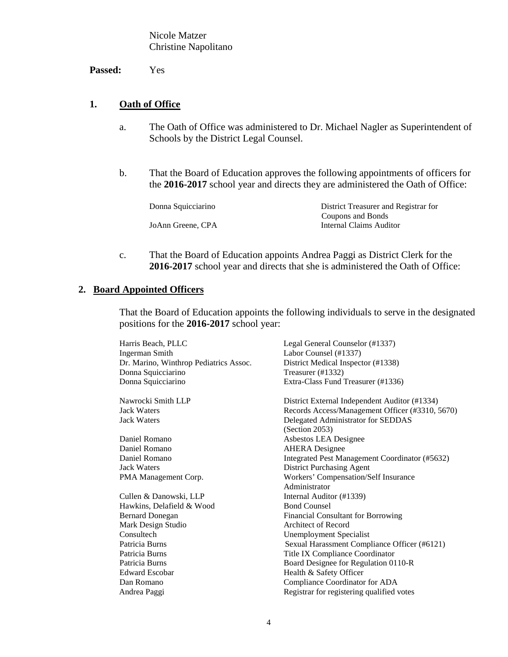Nicole Matzer Christine Napolitano

**Passed:** Yes

## **1. Oath of Office**

- a. The Oath of Office was administered to Dr. Michael Nagler as Superintendent of Schools by the District Legal Counsel.
- b. That the Board of Education approves the following appointments of officers for the **2016-2017** school year and directs they are administered the Oath of Office:

| District Treasurer and Registrar for |
|--------------------------------------|
| Coupons and Bonds                    |
| Internal Claims Auditor              |
|                                      |

c. That the Board of Education appoints Andrea Paggi as District Clerk for the **2016-2017** school year and directs that she is administered the Oath of Office:

### **2. Board Appointed Officers**

That the Board of Education appoints the following individuals to serve in the designated positions for the **2016-2017** school year:

| Harris Beach, PLLC                     | Legal General Counselor (#1337)                 |
|----------------------------------------|-------------------------------------------------|
| <b>Ingerman Smith</b>                  | Labor Counsel (#1337)                           |
| Dr. Marino, Winthrop Pediatrics Assoc. | District Medical Inspector (#1338)              |
| Donna Squicciarino                     | Treasurer (#1332)                               |
| Donna Squicciarino                     | Extra-Class Fund Treasurer (#1336)              |
| Nawrocki Smith LLP                     | District External Independent Auditor (#1334)   |
| <b>Jack Waters</b>                     | Records Access/Management Officer (#3310, 5670) |
| <b>Jack Waters</b>                     | Delegated Administrator for SEDDAS              |
|                                        | (Section 2053)                                  |
| Daniel Romano                          | Asbestos LEA Designee                           |
| Daniel Romano                          | <b>AHERA</b> Designee                           |
| Daniel Romano                          | Integrated Pest Management Coordinator (#5632)  |
| <b>Jack Waters</b>                     | District Purchasing Agent                       |
| PMA Management Corp.                   | Workers' Compensation/Self Insurance            |
|                                        | Administrator                                   |
| Cullen & Danowski, LLP                 | Internal Auditor (#1339)                        |
| Hawkins, Delafield & Wood              | <b>Bond Counsel</b>                             |
| <b>Bernard Donegan</b>                 | <b>Financial Consultant for Borrowing</b>       |
| Mark Design Studio                     | Architect of Record                             |
| Consultech                             | <b>Unemployment Specialist</b>                  |
| Patricia Burns                         | Sexual Harassment Compliance Officer (#6121)    |
| Patricia Burns                         | Title IX Compliance Coordinator                 |
| Patricia Burns                         | Board Designee for Regulation 0110-R            |
| <b>Edward Escobar</b>                  | Health & Safety Officer                         |
| Dan Romano                             | Compliance Coordinator for ADA                  |
| Andrea Paggi                           | Registrar for registering qualified votes       |
|                                        |                                                 |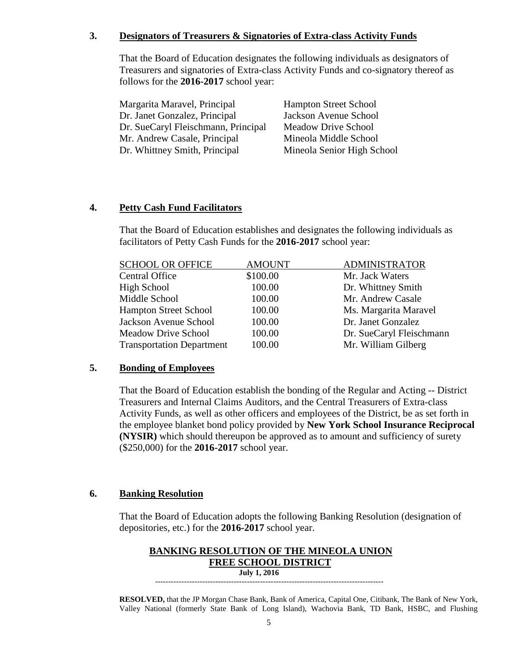## **3. Designators of Treasurers & Signatories of Extra-class Activity Funds**

That the Board of Education designates the following individuals as designators of Treasurers and signatories of Extra-class Activity Funds and co-signatory thereof as follows for the **2016-2017** school year:

| Margarita Maravel, Principal        | <b>Hampton Street School</b> |
|-------------------------------------|------------------------------|
| Dr. Janet Gonzalez, Principal       | Jackson Avenue School        |
| Dr. SueCaryl Fleischmann, Principal | <b>Meadow Drive School</b>   |
| Mr. Andrew Casale, Principal        | Mineola Middle School        |
| Dr. Whittney Smith, Principal       | Mineola Senior High School   |
|                                     |                              |

## **4. Petty Cash Fund Facilitators**

That the Board of Education establishes and designates the following individuals as facilitators of Petty Cash Funds for the **2016-2017** school year:

| <b>SCHOOL OR OFFICE</b>          | <b>AMOUNT</b> | <b>ADMINISTRATOR</b>     |
|----------------------------------|---------------|--------------------------|
| <b>Central Office</b>            | \$100.00      | Mr. Jack Waters          |
| High School                      | 100.00        | Dr. Whittney Smith       |
| Middle School                    | 100.00        | Mr. Andrew Casale        |
| <b>Hampton Street School</b>     | 100.00        | Ms. Margarita Maravel    |
| Jackson Avenue School            | 100.00        | Dr. Janet Gonzalez       |
| <b>Meadow Drive School</b>       | 100.00        | Dr. SueCaryl Fleischmann |
| <b>Transportation Department</b> | 100.00        | Mr. William Gilberg      |

## **5. Bonding of Employees**

That the Board of Education establish the bonding of the Regular and Acting -- District Treasurers and Internal Claims Auditors, and the Central Treasurers of Extra-class Activity Funds, as well as other officers and employees of the District, be as set forth in the employee blanket bond policy provided by **New York School Insurance Reciprocal (NYSIR)** which should thereupon be approved as to amount and sufficiency of surety (\$250,000) for the **2016-2017** school year.

## **6. Banking Resolution**

That the Board of Education adopts the following Banking Resolution (designation of depositories, etc.) for the **2016-2017** school year.

#### **BANKING RESOLUTION OF THE MINEOLA UNION FREE SCHOOL DISTRICT July 1, 2016**

---------------------------------------------------------------------------------------

**RESOLVED,** that the JP Morgan Chase Bank, Bank of America, Capital One, Citibank, The Bank of New York, Valley National (formerly State Bank of Long Island), Wachovia Bank, TD Bank, HSBC, and Flushing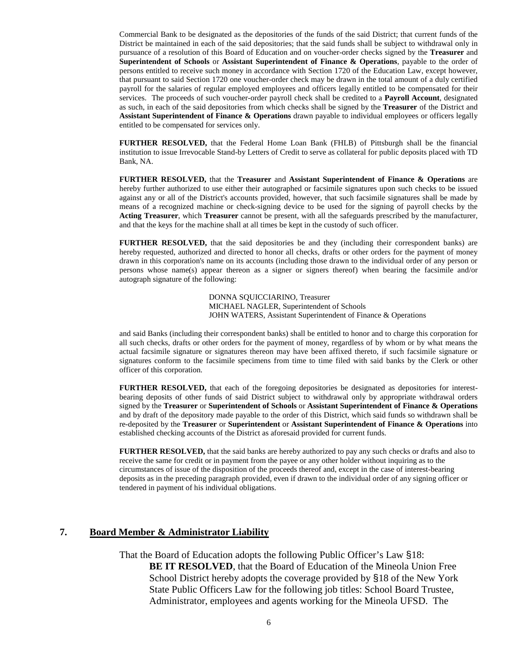Commercial Bank to be designated as the depositories of the funds of the said District; that current funds of the District be maintained in each of the said depositories; that the said funds shall be subject to withdrawal only in pursuance of a resolution of this Board of Education and on voucher-order checks signed by the **Treasurer** and **Superintendent of Schools** or **Assistant Superintendent of Finance & Operations**, payable to the order of persons entitled to receive such money in accordance with Section 1720 of the Education Law, except however, that pursuant to said Section 1720 one voucher-order check may be drawn in the total amount of a duly certified payroll for the salaries of regular employed employees and officers legally entitled to be compensated for their services. The proceeds of such voucher-order payroll check shall be credited to a **Payroll Account**, designated as such, in each of the said depositories from which checks shall be signed by the **Treasurer** of the District and **Assistant Superintendent of Finance & Operations** drawn payable to individual employees or officers legally entitled to be compensated for services only.

**FURTHER RESOLVED,** that the Federal Home Loan Bank (FHLB) of Pittsburgh shall be the financial institution to issue Irrevocable Stand-by Letters of Credit to serve as collateral for public deposits placed with TD Bank, NA.

**FURTHER RESOLVED,** that the **Treasurer** and **Assistant Superintendent of Finance & Operations** are hereby further authorized to use either their autographed or facsimile signatures upon such checks to be issued against any or all of the District's accounts provided, however, that such facsimile signatures shall be made by means of a recognized machine or check-signing device to be used for the signing of payroll checks by the **Acting Treasurer**, which **Treasurer** cannot be present, with all the safeguards prescribed by the manufacturer, and that the keys for the machine shall at all times be kept in the custody of such officer.

**FURTHER RESOLVED,** that the said depositories be and they (including their correspondent banks) are hereby requested, authorized and directed to honor all checks, drafts or other orders for the payment of money drawn in this corporation's name on its accounts (including those drawn to the individual order of any person or persons whose name(s) appear thereon as a signer or signers thereof) when bearing the facsimile and/or autograph signature of the following:

> DONNA SQUICCIARINO, Treasurer MICHAEL NAGLER, Superintendent of Schools JOHN WATERS, Assistant Superintendent of Finance & Operations

and said Banks (including their correspondent banks) shall be entitled to honor and to charge this corporation for all such checks, drafts or other orders for the payment of money, regardless of by whom or by what means the actual facsimile signature or signatures thereon may have been affixed thereto, if such facsimile signature or signatures conform to the facsimile specimens from time to time filed with said banks by the Clerk or other officer of this corporation.

**FURTHER RESOLVED,** that each of the foregoing depositories be designated as depositories for interestbearing deposits of other funds of said District subject to withdrawal only by appropriate withdrawal orders signed by the **Treasurer** or **Superintendent of Schools** or **Assistant Superintendent of Finance & Operations** and by draft of the depository made payable to the order of this District, which said funds so withdrawn shall be re-deposited by the **Treasurer** or **Superintendent** or **Assistant Superintendent of Finance & Operations** into established checking accounts of the District as aforesaid provided for current funds.

**FURTHER RESOLVED,** that the said banks are hereby authorized to pay any such checks or drafts and also to receive the same for credit or in payment from the payee or any other holder without inquiring as to the circumstances of issue of the disposition of the proceeds thereof and, except in the case of interest-bearing deposits as in the preceding paragraph provided, even if drawn to the individual order of any signing officer or tendered in payment of his individual obligations.

#### **7. Board Member & Administrator Liability**

That the Board of Education adopts the following Public Officer's Law §18: **BE IT RESOLVED**, that the Board of Education of the Mineola Union Free School District hereby adopts the coverage provided by §18 of the New York State Public Officers Law for the following job titles: School Board Trustee, Administrator, employees and agents working for the Mineola UFSD. The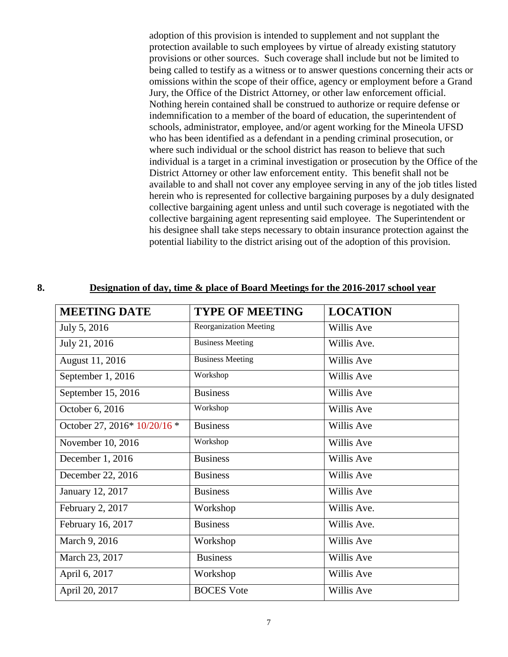adoption of this provision is intended to supplement and not supplant the protection available to such employees by virtue of already existing statutory provisions or other sources. Such coverage shall include but not be limited to being called to testify as a witness or to answer questions concerning their acts or omissions within the scope of their office, agency or employment before a Grand Jury, the Office of the District Attorney, or other law enforcement official. Nothing herein contained shall be construed to authorize or require defense or indemnification to a member of the board of education, the superintendent of schools, administrator, employee, and/or agent working for the Mineola UFSD who has been identified as a defendant in a pending criminal prosecution, or where such individual or the school district has reason to believe that such individual is a target in a criminal investigation or prosecution by the Office of the District Attorney or other law enforcement entity. This benefit shall not be available to and shall not cover any employee serving in any of the job titles listed herein who is represented for collective bargaining purposes by a duly designated collective bargaining agent unless and until such coverage is negotiated with the collective bargaining agent representing said employee. The Superintendent or his designee shall take steps necessary to obtain insurance protection against the potential liability to the district arising out of the adoption of this provision.

#### **8. Designation of day, time & place of Board Meetings for the 2016-2017 school year**

| <b>MEETING DATE</b>            | <b>TYPE OF MEETING</b>        | <b>LOCATION</b> |
|--------------------------------|-------------------------------|-----------------|
| July 5, 2016                   | <b>Reorganization Meeting</b> | Willis Ave      |
| July 21, 2016                  | <b>Business Meeting</b>       | Willis Ave.     |
| August 11, 2016                | <b>Business Meeting</b>       | Willis Ave      |
| September 1, 2016              | Workshop                      | Willis Ave      |
| September 15, 2016             | <b>Business</b>               | Willis Ave      |
| October 6, 2016                | Workshop                      | Willis Ave      |
| October 27, 2016* $10/20/16$ * | <b>Business</b>               | Willis Ave      |
| November 10, 2016              | Workshop                      | Willis Ave      |
| December 1, 2016               | <b>Business</b>               | Willis Ave      |
| December 22, 2016              | <b>Business</b>               | Willis Ave      |
| January 12, 2017               | <b>Business</b>               | Willis Ave      |
| February 2, 2017               | Workshop                      | Willis Ave.     |
| February 16, 2017              | <b>Business</b>               | Willis Ave.     |
| March 9, 2016                  | Workshop                      | Willis Ave      |
| March 23, 2017                 | <b>Business</b>               | Willis Ave      |
| April 6, 2017                  | Workshop                      | Willis Ave      |
| April 20, 2017                 | <b>BOCES</b> Vote             | Willis Ave      |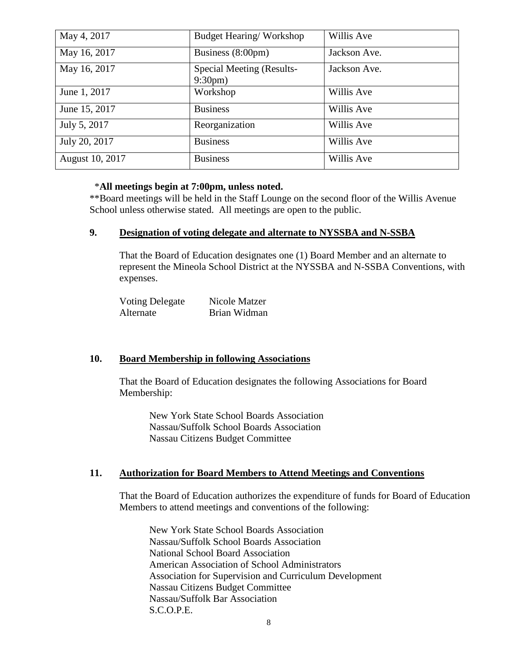| May 4, 2017     | Budget Hearing/Workshop                       | Willis Ave   |
|-----------------|-----------------------------------------------|--------------|
| May 16, 2017    | Business (8:00pm)                             | Jackson Ave. |
| May 16, 2017    | Special Meeting (Results-<br>$9:30 \text{pm}$ | Jackson Ave. |
| June 1, 2017    | Workshop                                      | Willis Ave   |
| June 15, 2017   | <b>Business</b>                               | Willis Ave   |
| July 5, 2017    | Reorganization                                | Willis Ave   |
| July 20, 2017   | <b>Business</b>                               | Willis Ave   |
| August 10, 2017 | <b>Business</b>                               | Willis Ave   |

#### \***All meetings begin at 7:00pm, unless noted.**

\*\*Board meetings will be held in the Staff Lounge on the second floor of the Willis Avenue School unless otherwise stated. All meetings are open to the public.

### **9. Designation of voting delegate and alternate to NYSSBA and N-SSBA**

That the Board of Education designates one (1) Board Member and an alternate to represent the Mineola School District at the NYSSBA and N-SSBA Conventions, with expenses.

| <b>Voting Delegate</b> | Nicole Matzer |
|------------------------|---------------|
| Alternate              | Brian Widman  |

#### **10. Board Membership in following Associations**

That the Board of Education designates the following Associations for Board Membership:

New York State School Boards Association Nassau/Suffolk School Boards Association Nassau Citizens Budget Committee

#### **11. Authorization for Board Members to Attend Meetings and Conventions**

That the Board of Education authorizes the expenditure of funds for Board of Education Members to attend meetings and conventions of the following:

New York State School Boards Association Nassau/Suffolk School Boards Association National School Board Association American Association of School Administrators Association for Supervision and Curriculum Development Nassau Citizens Budget Committee Nassau/Suffolk Bar Association S.C.O.P.E.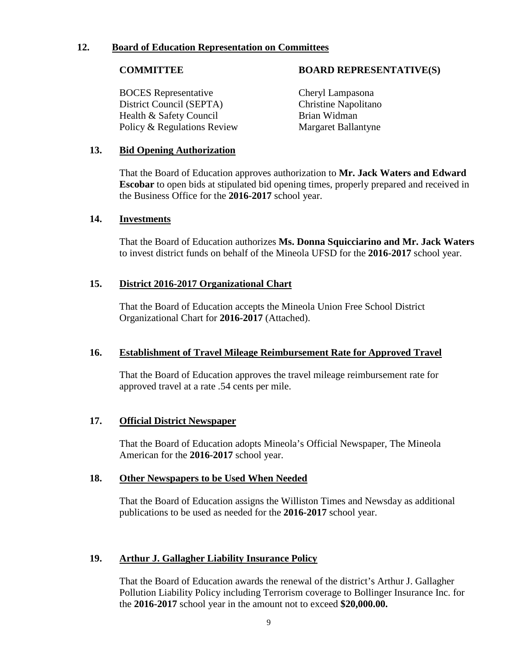### **12. Board of Education Representation on Committees**

BOCES Representative Cheryl Lampasona District Council (SEPTA) Christine Napolitano Health & Safety Council Brian Widman Policy & Regulations Review Margaret Ballantyne

### **COMMITTEE BOARD REPRESENTATIVE(S)**

### **13. Bid Opening Authorization**

That the Board of Education approves authorization to **Mr. Jack Waters and Edward Escobar** to open bids at stipulated bid opening times, properly prepared and received in the Business Office for the **2016-2017** school year.

#### **14. Investments**

That the Board of Education authorizes **Ms. Donna Squicciarino and Mr. Jack Waters** to invest district funds on behalf of the Mineola UFSD for the **2016-2017** school year.

### **15. District 2016-2017 Organizational Chart**

That the Board of Education accepts the Mineola Union Free School District Organizational Chart for **2016-2017** (Attached).

#### **16. Establishment of Travel Mileage Reimbursement Rate for Approved Travel**

That the Board of Education approves the travel mileage reimbursement rate for approved travel at a rate .54 cents per mile.

#### **17. Official District Newspaper**

That the Board of Education adopts Mineola's Official Newspaper, The Mineola American for the **2016-2017** school year.

#### **18. Other Newspapers to be Used When Needed**

That the Board of Education assigns the Williston Times and Newsday as additional publications to be used as needed for the **2016-2017** school year.

### **19. Arthur J. Gallagher Liability Insurance Policy**

That the Board of Education awards the renewal of the district's Arthur J. Gallagher Pollution Liability Policy including Terrorism coverage to Bollinger Insurance Inc. for the **2016-2017** school year in the amount not to exceed **\$20,000.00.**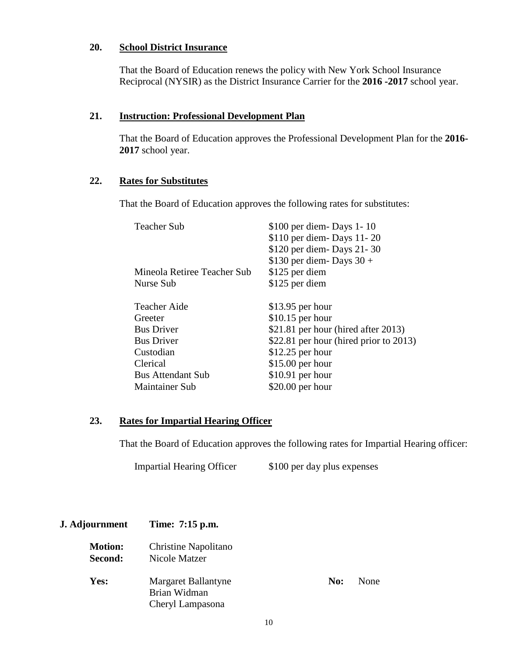### **20. School District Insurance**

That the Board of Education renews the policy with New York School Insurance Reciprocal (NYSIR) as the District Insurance Carrier for the **2016 -2017** school year.

### **21. Instruction: Professional Development Plan**

That the Board of Education approves the Professional Development Plan for the **2016- 2017** school year.

### **22. Rates for Substitutes**

That the Board of Education approves the following rates for substitutes:

| <b>Teacher Sub</b>          | \$100 per diem - Days 1 - 10           |  |
|-----------------------------|----------------------------------------|--|
|                             | \$110 per diem-Days 11-20              |  |
|                             | \$120 per diem-Days 21-30              |  |
|                             | \$130 per diem-Days $30 +$             |  |
| Mineola Retiree Teacher Sub | \$125 per diem                         |  |
| Nurse Sub                   | \$125 per diem                         |  |
| <b>Teacher Aide</b>         | $$13.95$ per hour                      |  |
| Greeter                     | $$10.15$ per hour                      |  |
| <b>Bus Driver</b>           | \$21.81 per hour (hired after 2013)    |  |
| <b>Bus Driver</b>           | \$22.81 per hour (hired prior to 2013) |  |
| Custodian                   | $$12.25$ per hour                      |  |
| Clerical                    | $$15.00$ per hour                      |  |
| <b>Bus Attendant Sub</b>    | $$10.91$ per hour                      |  |
| <b>Maintainer Sub</b>       | \$20.00 per hour                       |  |
|                             |                                        |  |

## **23. Rates for Impartial Hearing Officer**

That the Board of Education approves the following rates for Impartial Hearing officer:

Impartial Hearing Officer \$100 per day plus expenses

| <b>J.</b> Adjournment | Time: 7:15 p.m.      |     |      |  |
|-----------------------|----------------------|-----|------|--|
| <b>Motion:</b>        | Christine Napolitano |     |      |  |
| Second:               | Nicole Matzer        |     |      |  |
| Yes:                  | Margaret Ballantyne  | No: | None |  |
|                       | Brian Widman         |     |      |  |
|                       | Cheryl Lampasona     |     |      |  |